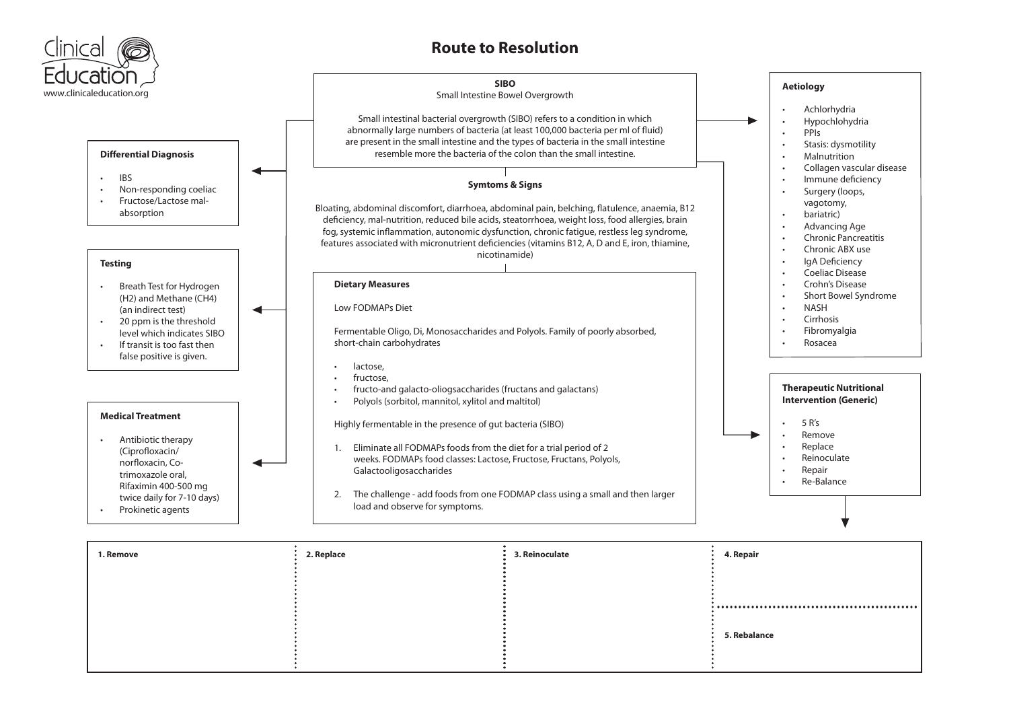

| 1. Remove | 2. Replace | 3. Reinoculate | 4. Repair                                                                                                                                                                                                                                                                                                                                                                                                                                                                                      |
|-----------|------------|----------------|------------------------------------------------------------------------------------------------------------------------------------------------------------------------------------------------------------------------------------------------------------------------------------------------------------------------------------------------------------------------------------------------------------------------------------------------------------------------------------------------|
|           |            |                |                                                                                                                                                                                                                                                                                                                                                                                                                                                                                                |
|           |            |                | $\begin{array}{lllllllllllllllllll} \bullet\;&\; \bullet\;&\; \bullet\;&\; \bullet\;&\; \bullet\;&\; \bullet\;&\; \bullet\;&\; \bullet\;&\; \bullet\;&\; \bullet\;&\; \bullet\;&\; \bullet\;&\; \bullet\;&\; \bullet\;&\; \bullet\;&\; \bullet\;&\; \bullet\;&\; \bullet\;&\; \bullet\;&\; \bullet\;&\; \bullet\;&\; \bullet\;&\; \bullet\;&\; \bullet\;&\; \bullet\;&\; \bullet\;&\; \bullet\;&\; \bullet\;&\; \bullet\;&\; \bullet\;&\; \bullet\;&\; \bullet\;&\; \bullet\;&\; \bullet\;&\;$ |
|           |            |                | 5. Rebalance                                                                                                                                                                                                                                                                                                                                                                                                                                                                                   |
|           |            |                |                                                                                                                                                                                                                                                                                                                                                                                                                                                                                                |
|           |            |                |                                                                                                                                                                                                                                                                                                                                                                                                                                                                                                |